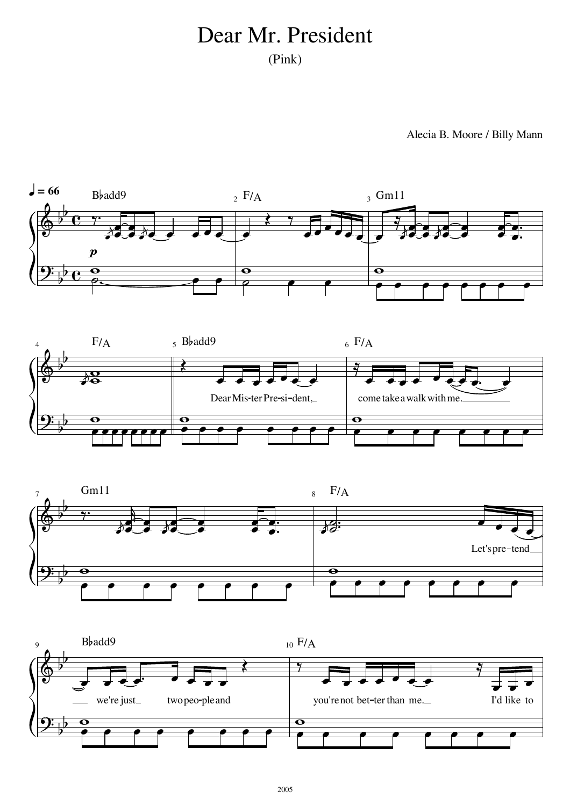# (Pink) Dear Mr. President

#### Alecia B. Moore / Billy Mann







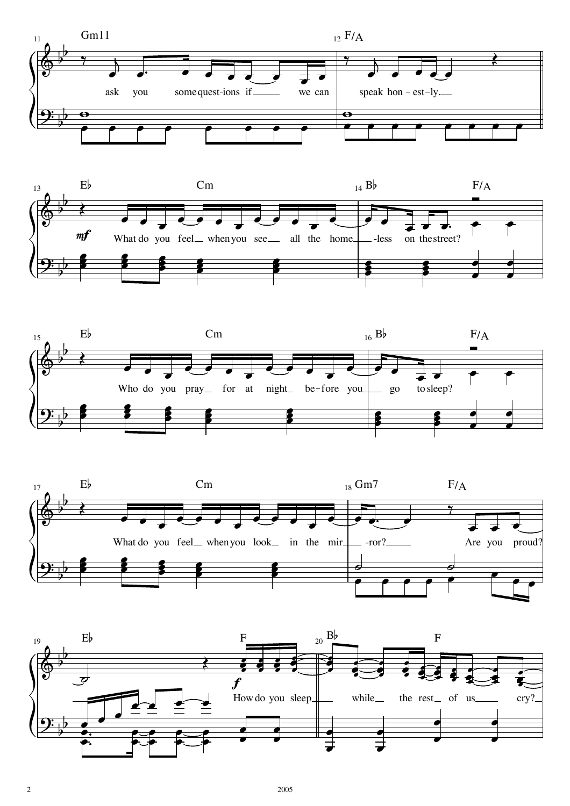







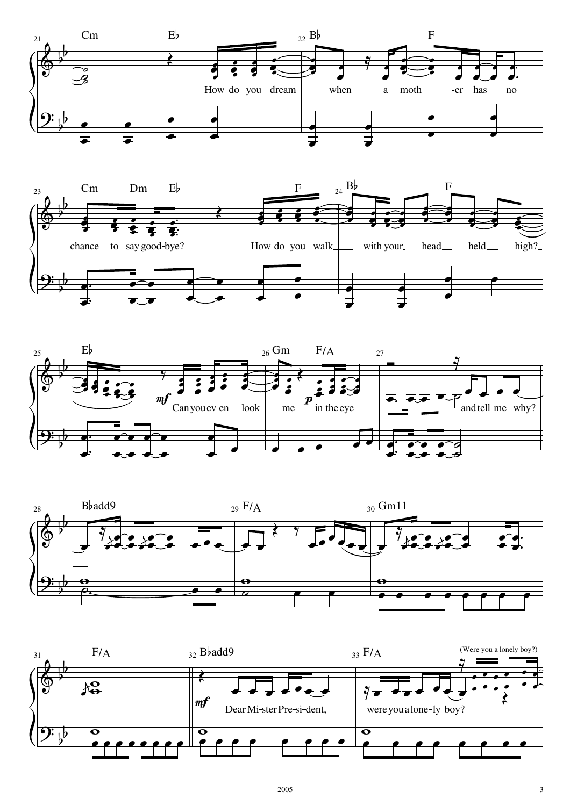







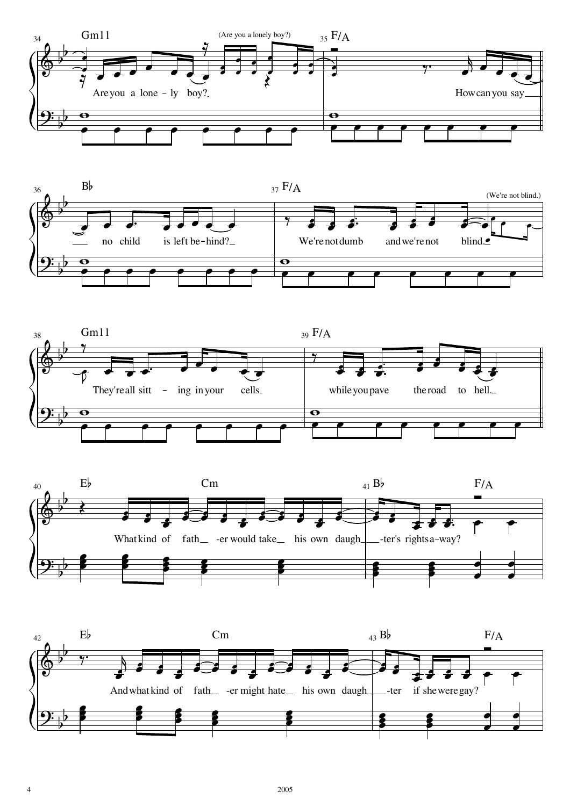







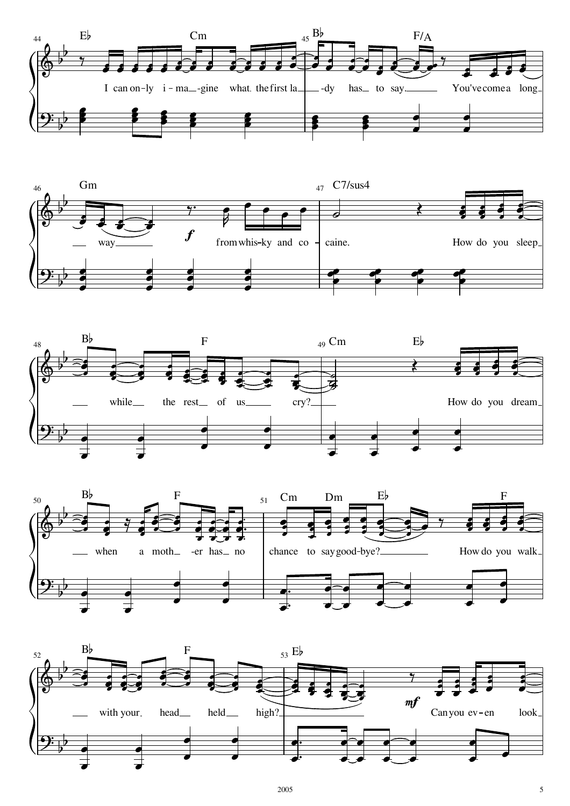







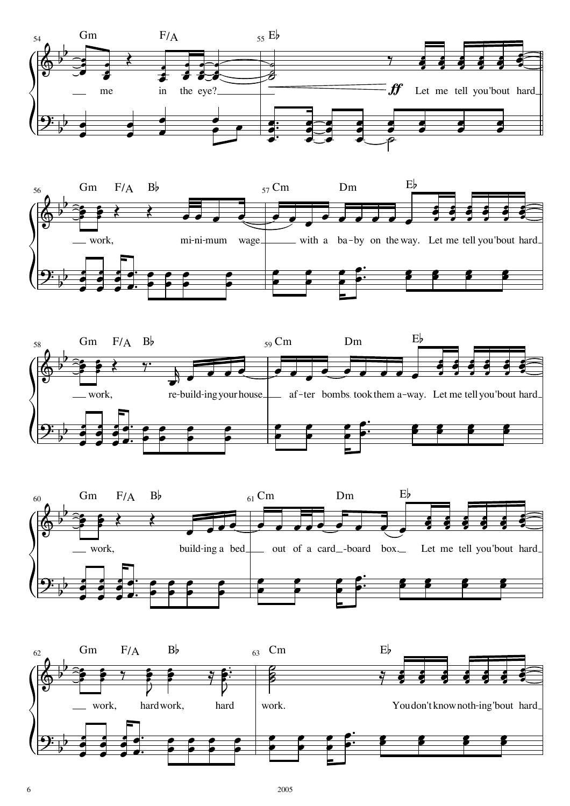







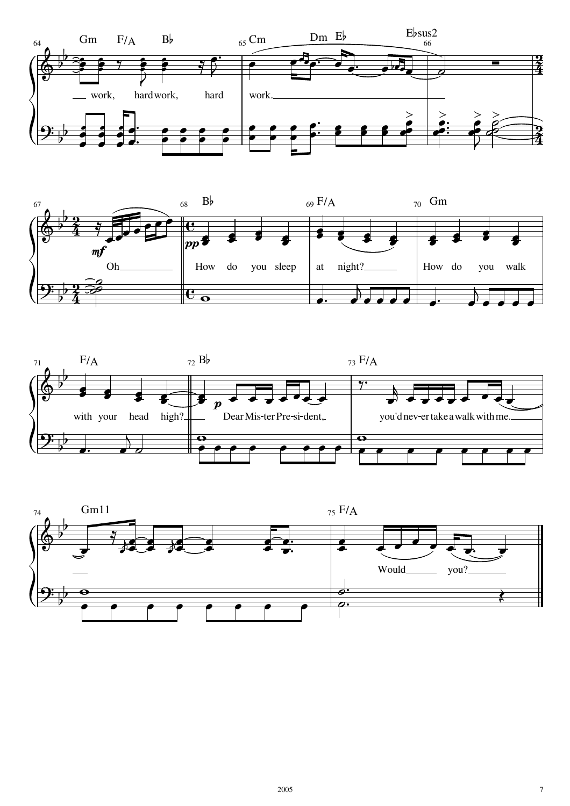





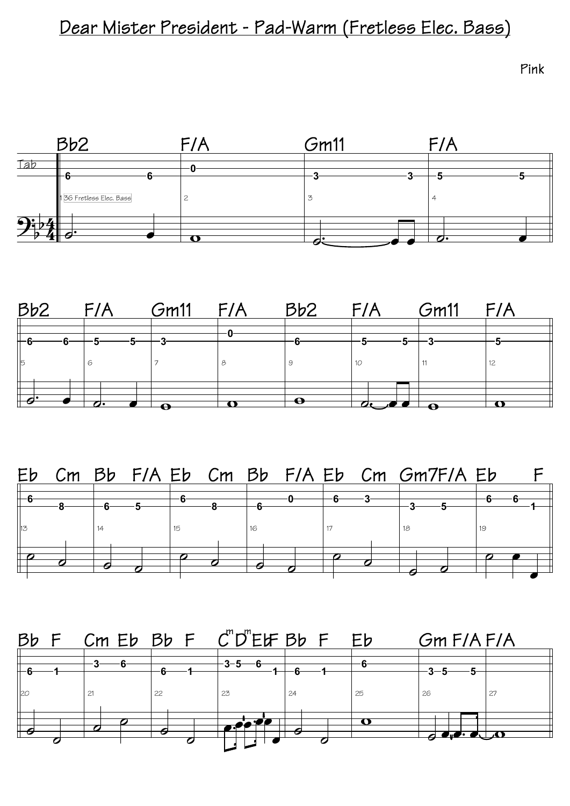# Dear Mister President - Pad-Warm (Fretless Elec. Bass)







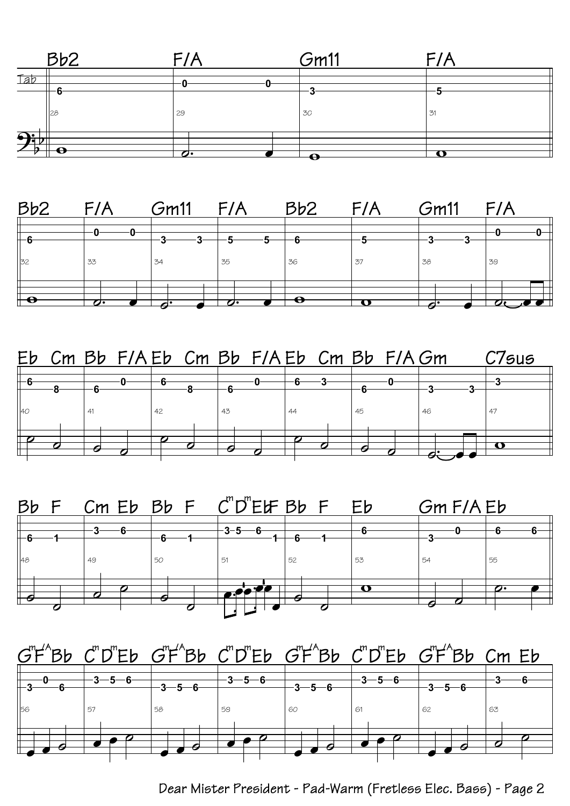









Dear Mister President - Pad-Warm (Fretless Elec. Bass) - Page 2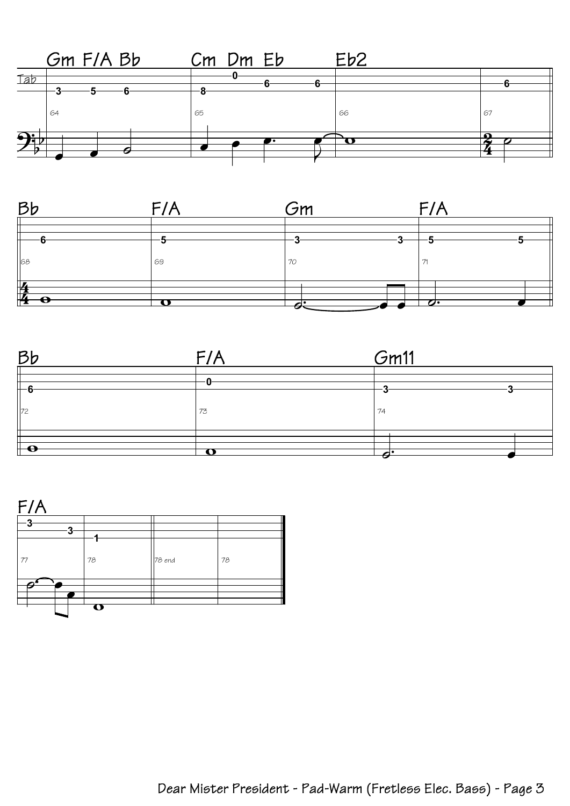





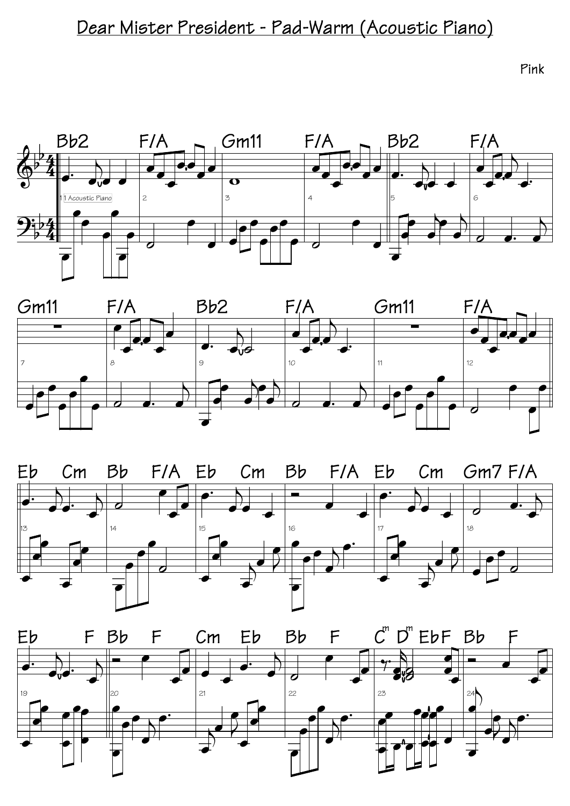# Dear Mister President - Pad-Warm (Acoustic Piano)







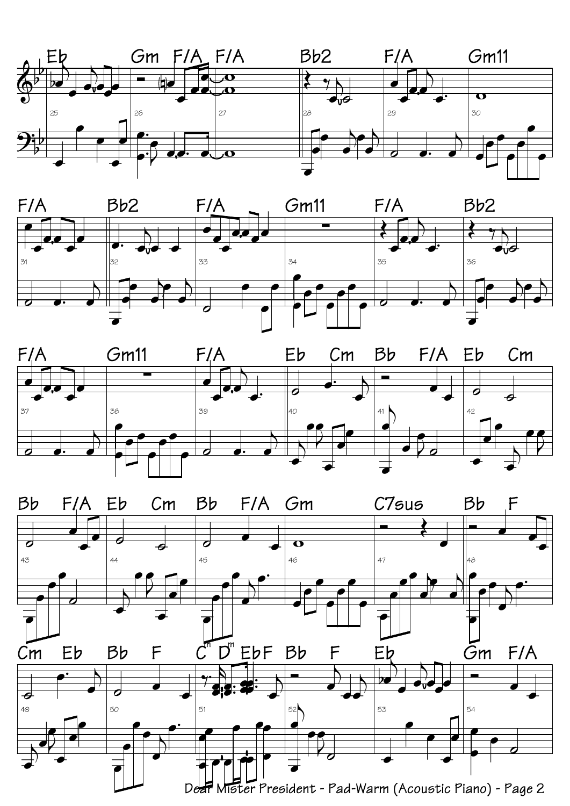





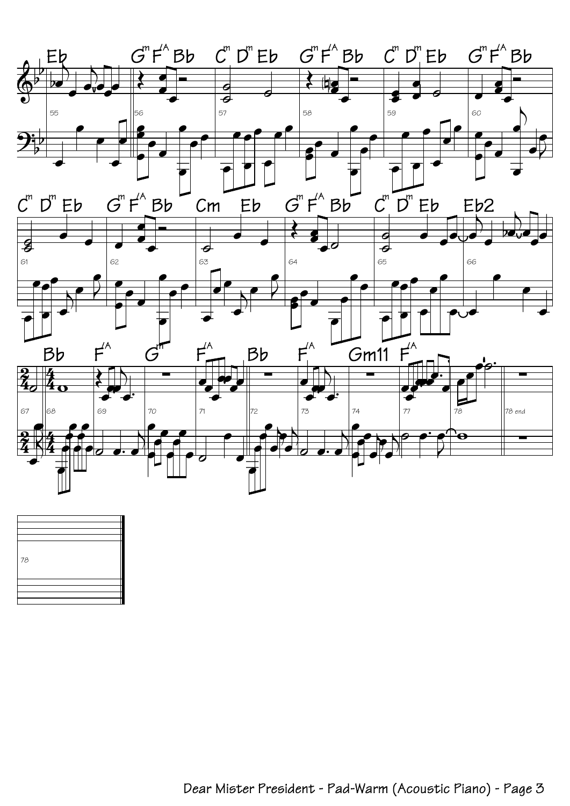

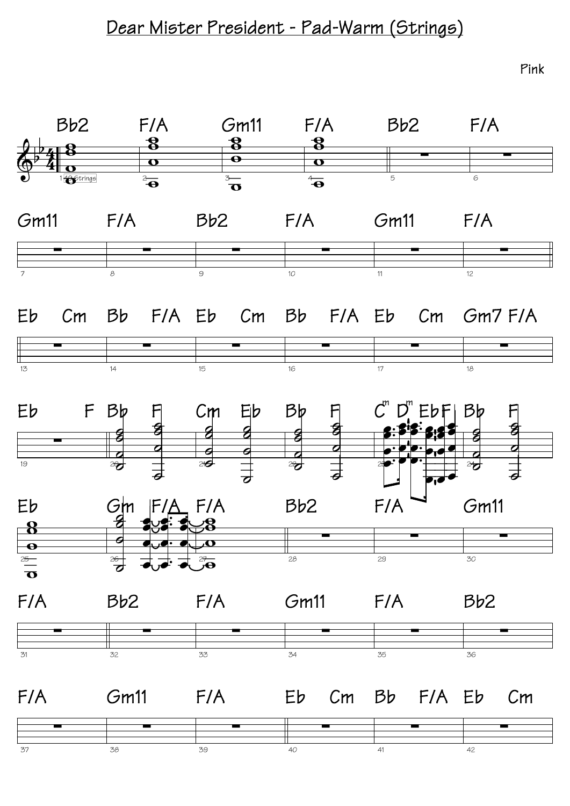#### Dear Mister President - Pad-Warm (Strings)

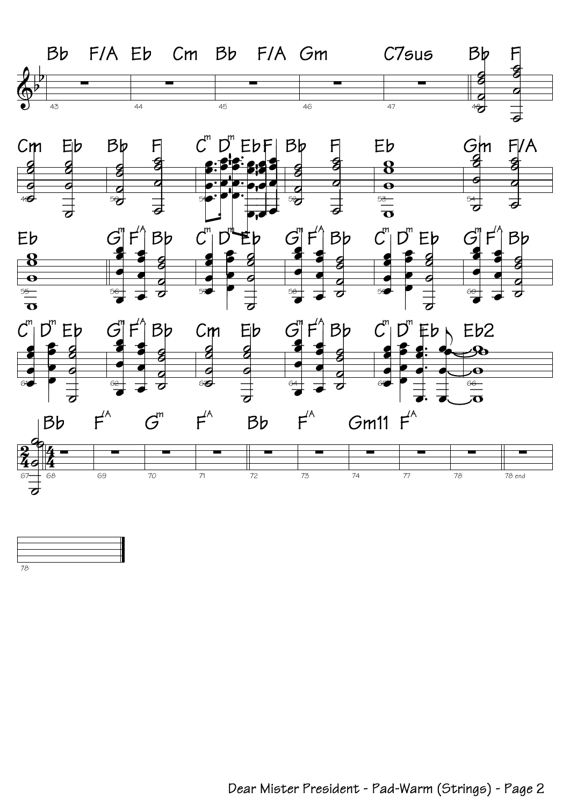

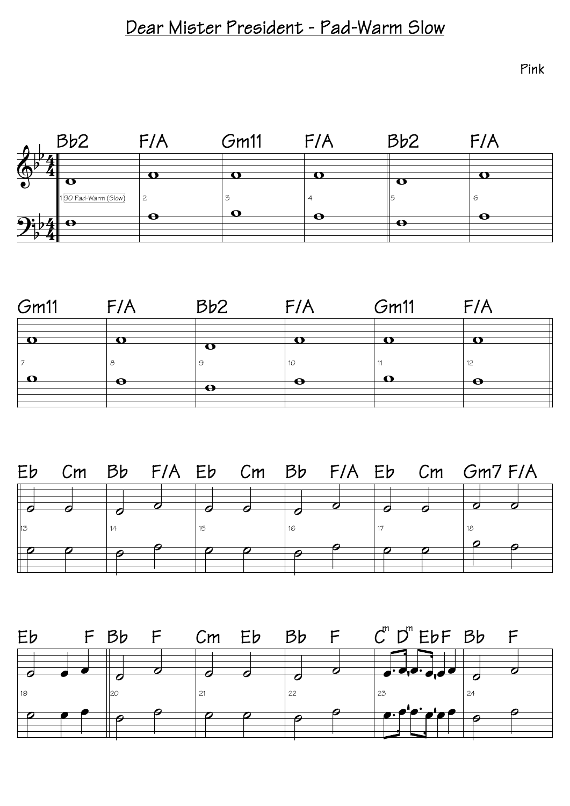#### Dear Mister President - Pad-Warm Slow







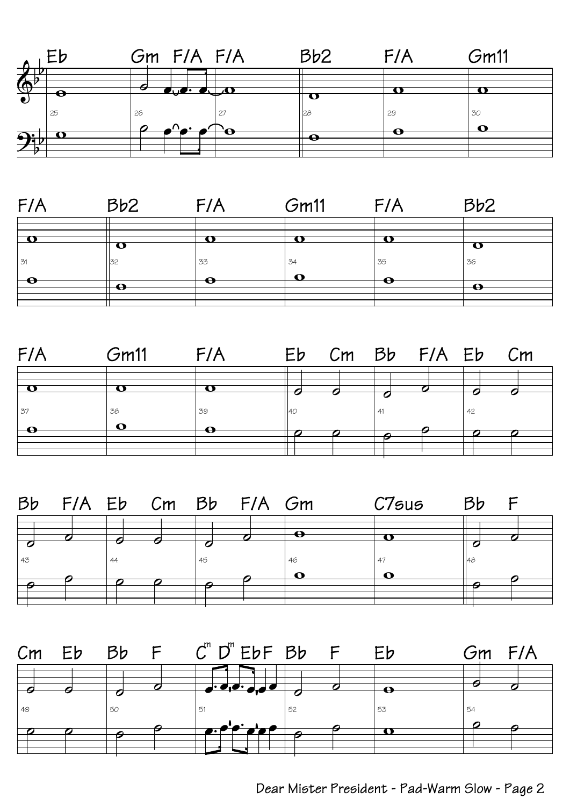









Dear Mister President - Pad-Warm Slow - Page 2